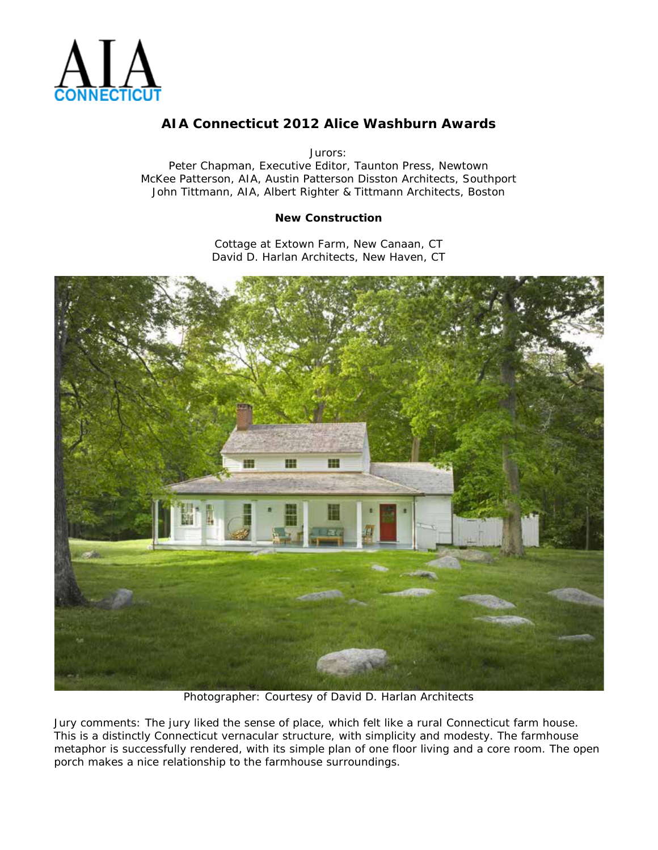

Jurors:

Peter Chapman, Executive Editor, Taunton Press, Newtown McKee Patterson, AIA, Austin Patterson Disston Architects, Southport John Tittmann, AIA, Albert Righter & Tittmann Architects, Boston

#### **New Construction**

Cottage at Extown Farm, New Canaan, CT David D. Harlan Architects, New Haven, CT



Photographer: Courtesy of David D. Harlan Architects

Jury comments: *The jury liked the sense of place, which felt like a rural Connecticut farm house. This is a distinctly Connecticut vernacular structure, with simplicity and modesty. The farmhouse metaphor is successfully rendered, with its simple plan of one floor living and a core room. The open porch makes a nice relationship to the farmhouse surroundings.*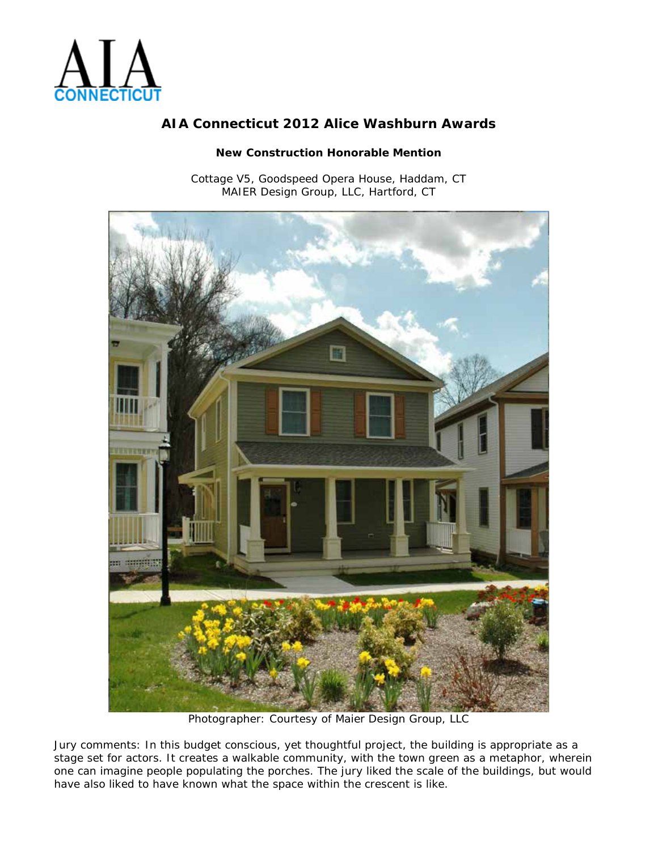

### **New Construction Honorable Mention**

Cottage V5, Goodspeed Opera House, Haddam, CT MAIER Design Group, LLC, Hartford, CT



Photographer: Courtesy of Maier Design Group, LLC

Jury comments: *In this budget conscious, yet thoughtful project, the building is appropriate as a stage set for actors. It creates a walkable community, with the town green as a metaphor, wherein one can imagine people populating the porches. The jury liked the scale of the buildings, but would have also liked to have known what the space within the crescent is like.*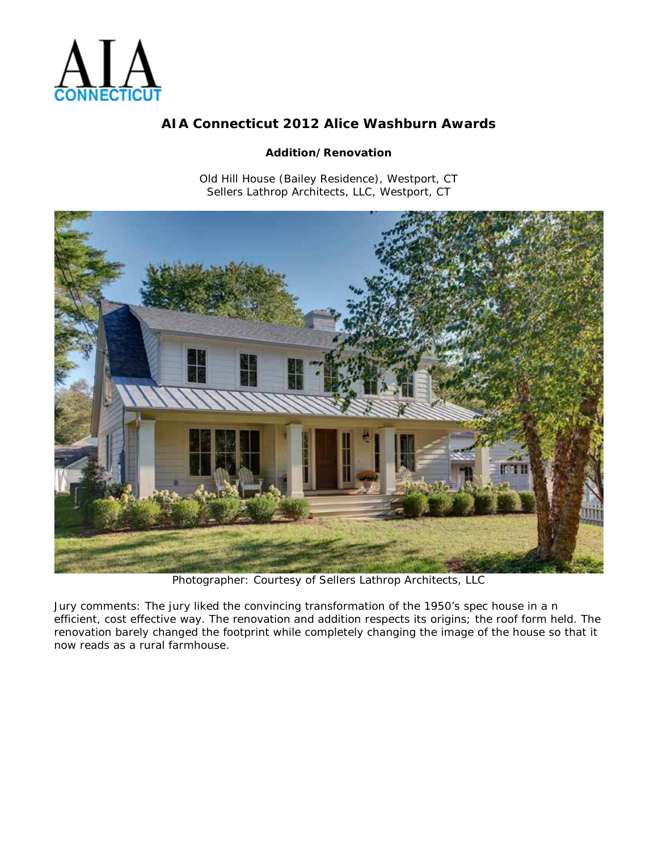

### **Addition/Renovation**

Old Hill House (Bailey Residence), Westport, CT Sellers Lathrop Architects, LLC, Westport, CT



Photographer: Courtesy of Sellers Lathrop Architects, LLC

Jury comments: *The jury liked the convincing transformation of the 1950's spec house in a n efficient, cost effective way. The renovation and addition respects its origins; the roof form held. The renovation barely changed the footprint while completely changing the image of the house so that it now reads as a rural farmhouse.*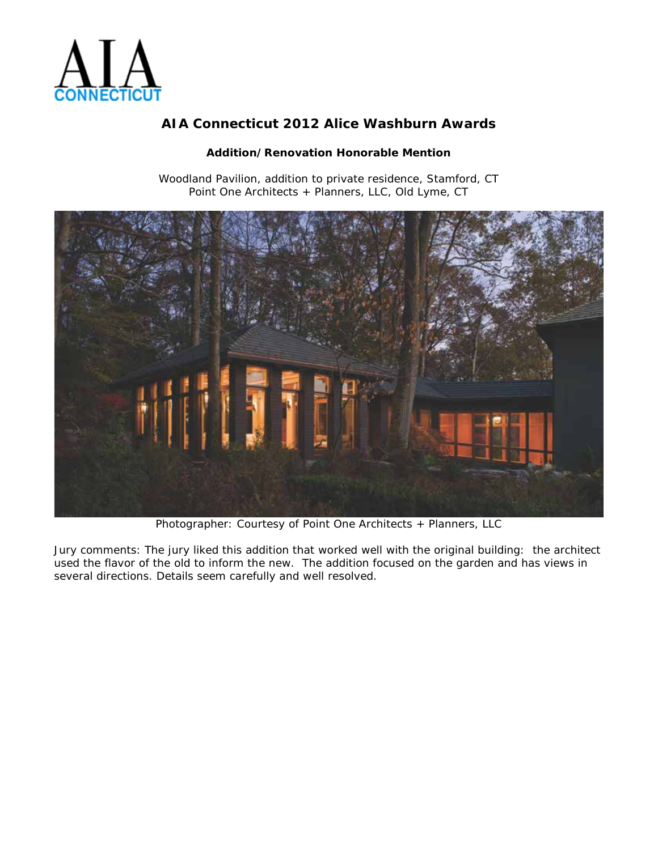

### **Addition/Renovation Honorable Mention**

Woodland Pavilion, addition to private residence, Stamford, CT Point One Architects + Planners, LLC, Old Lyme, CT



Photographer: Courtesy of Point One Architects + Planners, LLC

Jury comments: *The jury liked this addition that worked well with the original building: the architect used the flavor of the old to inform the new. The addition focused on the garden and has views in several directions. Details seem carefully and well resolved.*